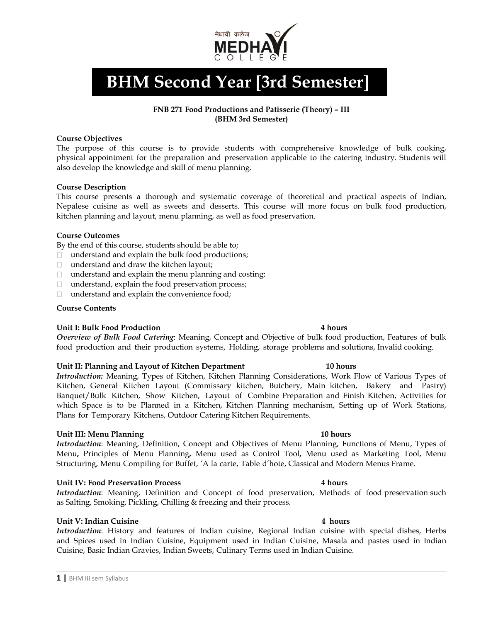

# **BHM Second Year [3rd Semester]**

## **FNB 271 Food Productions and Patisserie (Theory) – III (BHM 3rd Semester)**

## **Course Objectives**

The purpose of this course is to provide students with comprehensive knowledge of bulk cooking, physical appointment for the preparation and preservation applicable to the catering industry. Students will also develop the knowledge and skill of menu planning.

## **Course Description**

This course presents a thorough and systematic coverage of theoretical and practical aspects of Indian, Nepalese cuisine as well as sweets and desserts. This course will more focus on bulk food production, kitchen planning and layout, menu planning, as well as food preservation.

## **Course Outcomes**

By the end of this course, students should be able to;

- understand and explain the bulk food productions;
- □ understand and draw the kitchen layout;
- $\Box$  understand and explain the menu planning and costing;
- understand, explain the food preservation process;
- $\Box$  understand and explain the convenience food;

## **Course Contents**

## **Unit I: Bulk Food Production 4 hours**

*Overview of Bulk Food Catering*: Meaning, Concept and Objective of bulk food production, Features of bulk food production and their production systems, Holding, storage problems and solutions, Invalid cooking.

## **Unit II: Planning and Layout of Kitchen Department 10 hours**

*Introduction:* Meaning, Types of Kitchen, Kitchen Planning Considerations, Work Flow of Various Types of Kitchen, General Kitchen Layout (Commissary kitchen, Butchery, Main kitchen, Bakery and Pastry) Banquet/Bulk Kitchen, Show Kitchen, Layout of Combine Preparation and Finish Kitchen, Activities for which Space is to be Planned in a Kitchen, Kitchen Planning mechanism, Setting up of Work Stations, Plans for Temporary Kitchens, Outdoor Catering Kitchen Requirements.

## **Unit III: Menu Planning 10 hours**

*Introduction*: Meaning, Definition, Concept and Objectives of Menu Planning, Functions of Menu, Types of Menu**,** Principles of Menu Planning**,** Menu used as Control Tool**,** Menu used as Marketing Tool, Menu Structuring, Menu Compiling for Buffet, 'A la carte, Table d'hote, Classical and Modern Menus Frame.

## **Unit IV: Food Preservation Process 4 hours**

*Introduction*: Meaning, Definition and Concept of food preservation, Methods of food preservation such as Salting, Smoking, Pickling, Chilling & freezing and their process.

## **Unit V: Indian Cuisine 4 hours**

*Introduction*: History and features of Indian cuisine, Regional Indian cuisine with special dishes, Herbs and Spices used in Indian Cuisine, Equipment used in Indian Cuisine, Masala and pastes used in Indian Cuisine, Basic Indian Gravies, Indian Sweets, Culinary Terms used in Indian Cuisine.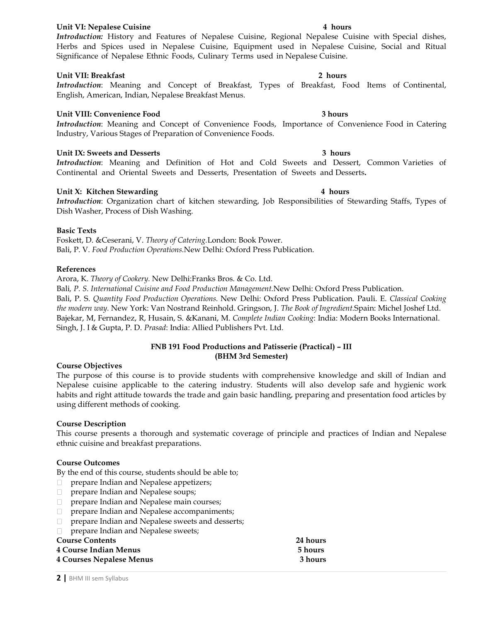## **Unit VI: Nepalese Cuisine 4 hours**

*Introduction:* History and Features of Nepalese Cuisine, Regional Nepalese Cuisine with Special dishes, Herbs and Spices used in Nepalese Cuisine, Equipment used in Nepalese Cuisine, Social and Ritual Significance of Nepalese Ethnic Foods, Culinary Terms used in Nepalese Cuisine.

## **Unit VII: Breakfast 2 hours**

*Introduction*: Meaning and Concept of Breakfast, Types of Breakfast, Food Items of Continental, English, American, Indian, Nepalese Breakfast Menus.

## **Unit VIII: Convenience Food 3 hours**

*Introduction*: Meaning and Concept of Convenience Foods, Importance of Convenience Food in Catering Industry, Various Stages of Preparation of Convenience Foods.

## **Unit IX: Sweets and Desserts 3 hours**

*Introduction*: Meaning and Definition of Hot and Cold Sweets and Dessert, Common Varieties of Continental and Oriental Sweets and Desserts, Presentation of Sweets and Desserts**.**

## **Unit X: Kitchen Stewarding 4 hours**

*Introduction*: Organization chart of kitchen stewarding, Job Responsibilities of Stewarding Staffs, Types of Dish Washer, Process of Dish Washing.

## **Basic Texts**

Foskett, D. &Ceserani, V. *Theory of Catering.*London: Book Power. Bali, P. V. *Food Production Operations.*New Delhi: Oxford Press Publication.

## **References**

Arora, K. *Theory of Cookery.* New Delhi:Franks Bros. & Co. Ltd.

Bali*, P. S. International Cuisine and Food Production Management.*New Delhi: Oxford Press Publication. Bali, P. S. *Quantity Food Production Operations.* New Delhi: Oxford Press Publication. Pauli. E. *Classical Cooking the modern way.* New York: Van Nostrand Reinhold. Gringson, J. *The Book of Ingredient.*Spain: Michel Joshef Ltd. Bajekar, M, Fernandez, R, Husain, S. &Kanani, M. *Complete Indian Cooking*: India: Modern Books International. Singh, J. I & Gupta, P. D. *Prasad*: India: Allied Publishers Pvt. Ltd.

## **FNB 191 Food Productions and Patisserie (Practical) – III (BHM 3rd Semester)**

## **Course Objectives**

The purpose of this course is to provide students with comprehensive knowledge and skill of Indian and Nepalese cuisine applicable to the catering industry. Students will also develop safe and hygienic work habits and right attitude towards the trade and gain basic handling, preparing and presentation food articles by using different methods of cooking.

## **Course Description**

This course presents a thorough and systematic coverage of principle and practices of Indian and Nepalese ethnic cuisine and breakfast preparations.

## **Course Outcomes**

By the end of this course, students should be able to;

- □ prepare Indian and Nepalese appetizers;
- prepare Indian and Nepalese soups;
- prepare Indian and Nepalese main courses;
- $\Box$  prepare Indian and Nepalese accompaniments;
- prepare Indian and Nepalese sweets and desserts;
- □ prepare Indian and Nepalese sweets;

**Course Contents 24 hours**

| -----------------               | -------- |
|---------------------------------|----------|
| <b>4 Course Indian Menus</b>    | 5 hours  |
| <b>4 Courses Nepalese Menus</b> | 3 hours  |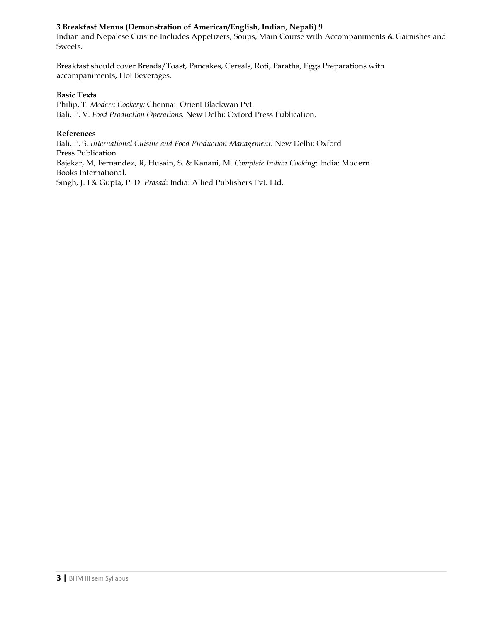## **3 Breakfast Menus (Demonstration of American/English, Indian, Nepali) 9**

Indian and Nepalese Cuisine Includes Appetizers, Soups, Main Course with Accompaniments & Garnishes and Sweets.

Breakfast should cover Breads/Toast, Pancakes, Cereals, Roti, Paratha, Eggs Preparations with accompaniments, Hot Beverages.

## **Basic Texts**

Philip, T. *Modern Cookery:* Chennai: Orient Blackwan Pvt. Bali, P. V. *Food Production Operations.* New Delhi: Oxford Press Publication.

## **References**

Bali, P. S*. International Cuisine and Food Production Management:* New Delhi: Oxford Press Publication. Bajekar, M, Fernandez, R, Husain, S. & Kanani, M. *Complete Indian Cooking*: India: Modern Books International. Singh, J. I & Gupta, P. D. *Prasad*: India: Allied Publishers Pvt. Ltd.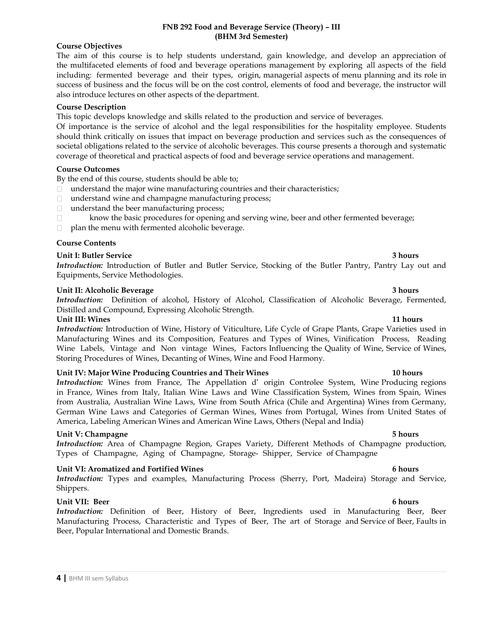## **FNB 292 Food and Beverage Service (Theory) – III (BHM 3rd Semester)**

## **Course Objectives**

The aim of this course is to help students understand, gain knowledge, and develop an appreciation of the multifaceted elements of food and beverage operations management by exploring all aspects of the field including: fermented beverage and their types, origin, managerial aspects of menu planning and its role in success of business and the focus will be on the cost control, elements of food and beverage, the instructor will also introduce lectures on other aspects of the department.

## **Course Description**

This topic develops knowledge and skills related to the production and service of beverages.

Of importance is the service of alcohol and the legal responsibilities for the hospitality employee. Students should think critically on issues that impact on beverage production and services such as the consequences of societal obligations related to the service of alcoholic beverages. This course presents a thorough and systematic coverage of theoretical and practical aspects of food and beverage service operations and management.

## **Course Outcomes**

By the end of this course, students should be able to;

- $\Box$  understand the major wine manufacturing countries and their characteristics;
- $\Box$  understand wine and champagne manufacturing process;
- $\Box$  understand the beer manufacturing process;
- $\Box$ know the basic procedures for opening and serving wine, beer and other fermented beverage;
- $\Box$  plan the menu with fermented alcoholic beverage.

## **Course Contents**

## **Unit I: Butler Service 3 hours**

*Introduction:* Introduction of Butler and Butler Service, Stocking of the Butler Pantry, Pantry Lay out and Equipments, Service Methodologies.

## **Unit II: Alcoholic Beverage 3 hours**

*Introduction:* Definition of alcohol, History of Alcohol, Classification of Alcoholic Beverage, Fermented, Distilled and Compound, Expressing Alcoholic Strength.

## **Unit III: Wines 11 hours**

*Introduction:* Introduction of Wine, History of Viticulture, Life Cycle of Grape Plants, Grape Varieties used in Manufacturing Wines and its Composition, Features and Types of Wines, Vinification Process, Reading Wine Labels, Vintage and Non vintage Wines, Factors Influencing the Quality of Wine, Service of Wines, Storing Procedures of Wines, Decanting of Wines, Wine and Food Harmony.

## **Unit IV: Major Wine Producing Countries and Their Wines 10 hours**

*Introduction:* Wines from France, The Appellation d' origin Controlee System, Wine Producing regions in France, Wines from Italy, Italian Wine Laws and Wine Classification System, Wines from Spain, Wines from Australia, Australian Wine Laws, Wine from South Africa (Chile and Argentina) Wines from Germany, German Wine Laws and Categories of German Wines, Wines from Portugal, Wines from United States of America, Labeling American Wines and American Wine Laws, Others (Nepal and India)

## **Unit V: Champagne 5 hours**

*Introduction:* Area of Champagne Region, Grapes Variety, Different Methods of Champagne production, Types of Champagne, Aging of Champagne, Storage- Shipper, Service of Champagne

## **Unit VI: Aromatized and Fortified Wines 6 hours**

*Introduction:* Types and examples, Manufacturing Process (Sherry, Port, Madeira) Storage and Service, Shippers.

## **Unit VII:** Beer 6 hours **6 hours 6 hours**

*Introduction:* Definition of Beer, History of Beer, Ingredients used in Manufacturing Beer, Beer Manufacturing Process, Characteristic and Types of Beer, The art of Storage and Service of Beer, Faults in Beer, Popular International and Domestic Brands.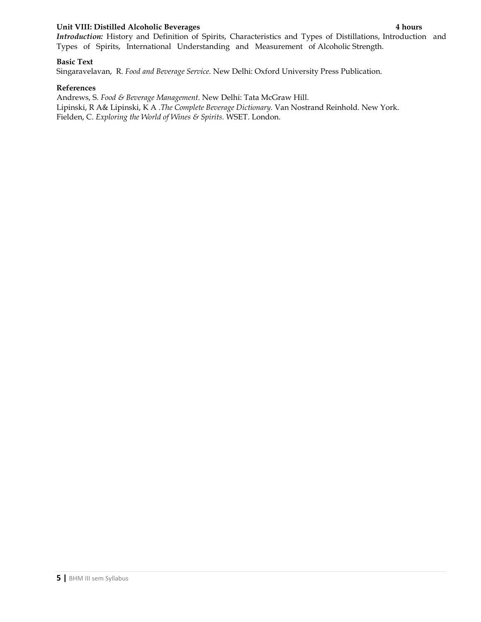## **Unit VIII: Distilled Alcoholic Beverages 4 hours**

*Introduction:* History and Definition of Spirits, Characteristics and Types of Distillations, Introduction and Types of Spirits, International Understanding and Measurement of Alcoholic Strength.

## **Basic Text**

Singaravelavan, R. *Food and Beverage Service.* New Delhi: Oxford University Press Publication.

## **References**

Andrews, S. *Food & Beverage Management.* New Delhi: Tata McGraw Hill. Lipinski, R A& Lipinski, K A .*The Complete Beverage Dictionary.* Van Nostrand Reinhold. New York. Fielden, C. *Exploring the World of Wines & Spirits.* WSET. London.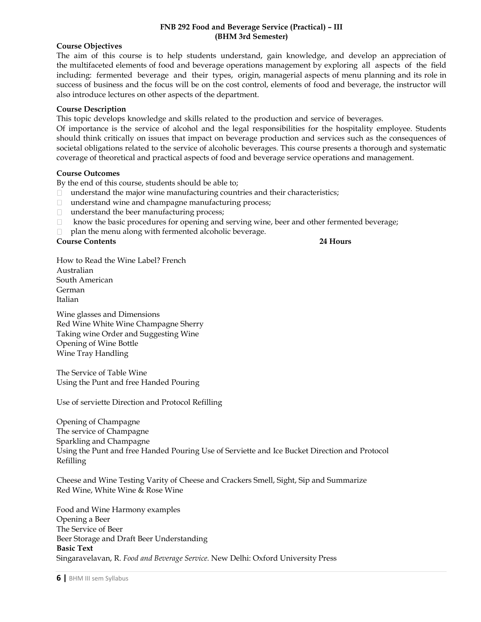## **FNB 292 Food and Beverage Service (Practical) – III (BHM 3rd Semester)**

## **Course Objectives**

The aim of this course is to help students understand, gain knowledge, and develop an appreciation of the multifaceted elements of food and beverage operations management by exploring all aspects of the field including: fermented beverage and their types, origin, managerial aspects of menu planning and its role in success of business and the focus will be on the cost control, elements of food and beverage, the instructor will also introduce lectures on other aspects of the department.

## **Course Description**

This topic develops knowledge and skills related to the production and service of beverages.

Of importance is the service of alcohol and the legal responsibilities for the hospitality employee. Students should think critically on issues that impact on beverage production and services such as the consequences of societal obligations related to the service of alcoholic beverages. This course presents a thorough and systematic coverage of theoretical and practical aspects of food and beverage service operations and management.

## **Course Outcomes**

By the end of this course, students should be able to;

- $\Box$  understand the major wine manufacturing countries and their characteristics;
- □ understand wine and champagne manufacturing process;
- $\Box$  understand the beer manufacturing process;
- know the basic procedures for opening and serving wine, beer and other fermented beverage;  $\Box$
- plan the menu along with fermented alcoholic beverage.

## **Course Contents 24 Hours**

How to Read the Wine Label? French Australian South American German Italian

Wine glasses and Dimensions Red Wine White Wine Champagne Sherry Taking wine Order and Suggesting Wine Opening of Wine Bottle Wine Tray Handling

The Service of Table Wine Using the Punt and free Handed Pouring

Use of serviette Direction and Protocol Refilling

Opening of Champagne The service of Champagne Sparkling and Champagne Using the Punt and free Handed Pouring Use of Serviette and Ice Bucket Direction and Protocol Refilling

Cheese and Wine Testing Varity of Cheese and Crackers Smell, Sight, Sip and Summarize Red Wine, White Wine & Rose Wine

Food and Wine Harmony examples Opening a Beer The Service of Beer Beer Storage and Draft Beer Understanding **Basic Text** Singaravelavan, R. *Food and Beverage Service.* New Delhi: Oxford University Press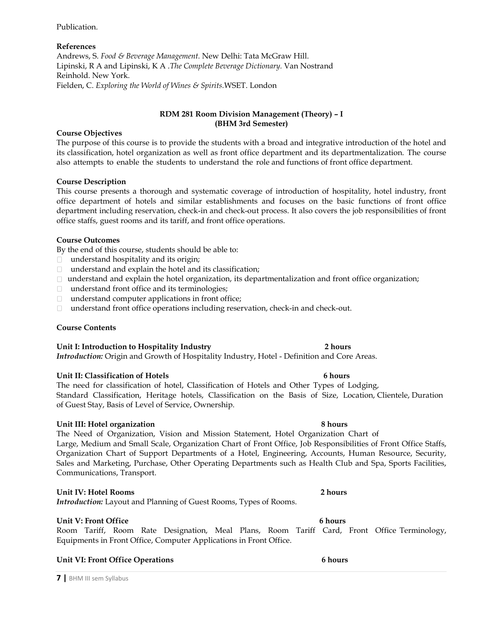Publication.

## **References**

Andrews, S. *Food & Beverage Management.* New Delhi: Tata McGraw Hill. Lipinski, R A and Lipinski, K A .*The Complete Beverage Dictionary.* Van Nostrand Reinhold. New York. Fielden, C. *Exploring the World of Wines & Spirits.*WSET. London

## **RDM 281 Room Division Management (Theory) – I (BHM 3rd Semester)**

## **Course Objectives**

The purpose of this course is to provide the students with a broad and integrative introduction of the hotel and its classification, hotel organization as well as front office department and its departmentalization. The course also attempts to enable the students to understand the role and functions of front office department.

## **Course Description**

This course presents a thorough and systematic coverage of introduction of hospitality, hotel industry, front office department of hotels and similar establishments and focuses on the basic functions of front office department including reservation, check-in and check-out process. It also covers the job responsibilities of front office staffs, guest rooms and its tariff, and front office operations.

## **Course Outcomes**

By the end of this course, students should be able to:

- □ understand hospitality and its origin;
- $\Box$  understand and explain the hotel and its classification;
- $\Box$  understand and explain the hotel organization, its departmentalization and front office organization;
- □ understand front office and its terminologies;
- $\Box$  understand computer applications in front office;
- understand front office operations including reservation, check-in and check-out.

## **Course Contents**

## **Unit I: Introduction to Hospitality Industry 2 hours**

*Introduction:* Origin and Growth of Hospitality Industry, Hotel - Definition and Core Areas.

## **Unit II: Classification of Hotels 6 hours**

The need for classification of hotel, Classification of Hotels and Other Types of Lodging, Standard Classification, Heritage hotels, Classification on the Basis of Size, Location, Clientele, Duration of Guest Stay, Basis of Level of Service, Ownership.

## **Unit III: Hotel organization 8 hours**

The Need of Organization, Vision and Mission Statement, Hotel Organization Chart of Large, Medium and Small Scale, Organization Chart of Front Office, Job Responsibilities of Front Office Staffs, Organization Chart of Support Departments of a Hotel, Engineering, Accounts, Human Resource, Security, Sales and Marketing, Purchase, Other Operating Departments such as Health Club and Spa, Sports Facilities, Communications, Transport.

## **Unit IV: Hotel Rooms 2 hours**

*Introduction:* Layout and Planning of Guest Rooms, Types of Rooms.

## **Unit V: Front Office 6 hours**

Room Tariff, Room Rate Designation, Meal Plans, Room Tariff Card, Front Office Terminology, Equipments in Front Office, Computer Applications in Front Office.

## **Unit VI: Front Office Operations 6 hours**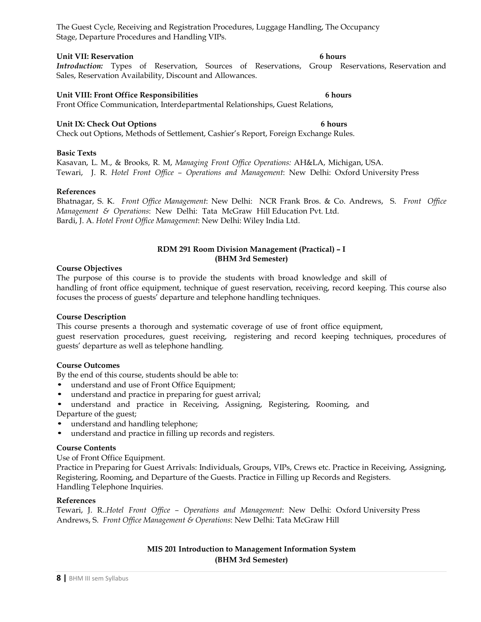The Guest Cycle, Receiving and Registration Procedures, Luggage Handling, The Occupancy Stage, Departure Procedures and Handling VIPs.

## **Unit VII: Reservation 6 hours**

*Introduction:* Types of Reservation, Sources of Reservations, Group Reservations, Reservation and Sales, Reservation Availability, Discount and Allowances.

## **Unit VIII: Front Office Responsibilities 6 hours**

Front Office Communication, Interdepartmental Relationships, Guest Relations,

## **Unit IX: Check Out Options 6 hours**

Check out Options, Methods of Settlement, Cashier's Report, Foreign Exchange Rules.

## **Basic Texts**

Kasavan, L. M., & Brooks, R. M, *Managing Front Office Operations:* AH&LA, Michigan, USA. Tewari, J. R. *Hotel Front Office – Operations and Management*: New Delhi: Oxford University Press

## **References**

Bhatnagar, S. K. *Front Office Management*: New Delhi: NCR Frank Bros. & Co. Andrews, S. *Front Office Management & Operations*: New Delhi: Tata McGraw Hill Education Pvt. Ltd. Bardi, J. A. *Hotel Front Office Management*: New Delhi: Wiley India Ltd.

## **RDM 291 Room Division Management (Practical) – I (BHM 3rd Semester)**

## **Course Objectives**

The purpose of this course is to provide the students with broad knowledge and skill of handling of front office equipment, technique of guest reservation, receiving, record keeping. This course also focuses the process of guests' departure and telephone handling techniques.

## **Course Description**

This course presents a thorough and systematic coverage of use of front office equipment, guest reservation procedures, guest receiving, registering and record keeping techniques, procedures of

guests' departure as well as telephone handling.

## **Course Outcomes**

By the end of this course, students should be able to:

- understand and use of Front Office Equipment;
- understand and practice in preparing for guest arrival;
- understand and practice in Receiving, Assigning, Registering, Rooming, and Departure of the guest;
- understand and handling telephone;
- understand and practice in filling up records and registers.

## **Course Contents**

Use of Front Office Equipment.

Practice in Preparing for Guest Arrivals: Individuals, Groups, VIPs, Crews etc. Practice in Receiving, Assigning, Registering, Rooming, and Departure of the Guests. Practice in Filling up Records and Registers. Handling Telephone Inquiries.

## **References**

Tewari, J. R..*Hotel Front Office – Operations and Management*: New Delhi: Oxford University Press Andrews, S. *Front Office Management & Operations*: New Delhi: Tata McGraw Hill

## **MIS 201 Introduction to Management Information System (BHM 3rd Semester)**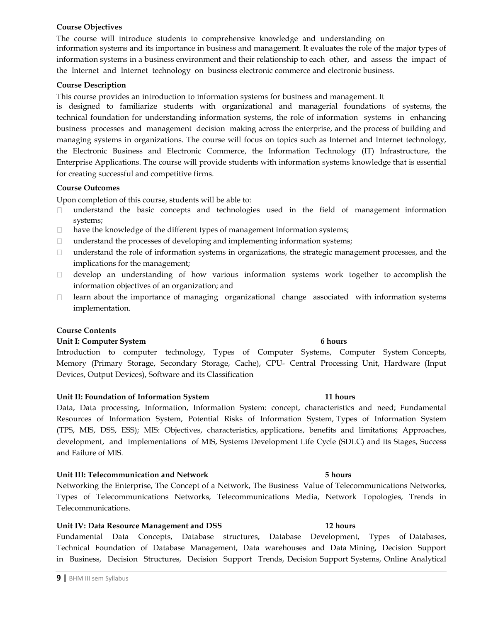## **Course Objectives**

The course will introduce students to comprehensive knowledge and understanding on information systems and its importance in business and management. It evaluates the role of the major types of information systems in a business environment and their relationship to each other, and assess the impact of the Internet and Internet technology on business electronic commerce and electronic business.

## **Course Description**

This course provides an introduction to information systems for business and management. It

is designed to familiarize students with organizational and managerial foundations of systems, the technical foundation for understanding information systems, the role of information systems in enhancing business processes and management decision making across the enterprise, and the process of building and managing systems in organizations. The course will focus on topics such as Internet and Internet technology, the Electronic Business and Electronic Commerce, the Information Technology (IT) Infrastructure, the Enterprise Applications. The course will provide students with information systems knowledge that is essential for creating successful and competitive firms.

## **Course Outcomes**

Upon completion of this course, students will be able to:

- understand the basic concepts and technologies used in the field of management information systems;
- $\Box$ have the knowledge of the different types of management information systems;
- understand the processes of developing and implementing information systems;  $\Box$
- understand the role of information systems in organizations, the strategic management processes, and the  $\Box$ implications for the management;
- develop an understanding of how various information systems work together to accomplish the  $\Box$ information objectives of an organization; and
- learn about the importance of managing organizational change associated with information systems  $\Box$ implementation.

## **Course Contents**

## **Unit I: Computer System 6 hours**

Introduction to computer technology, Types of Computer Systems, Computer System Concepts, Memory (Primary Storage, Secondary Storage, Cache), CPU- Central Processing Unit, Hardware (Input Devices, Output Devices), Software and its Classification

## **Unit II: Foundation of Information System 11 hours**

Data, Data processing, Information, Information System: concept, characteristics and need; Fundamental Resources of Information System, Potential Risks of Information System, Types of Information System (TPS, MIS, DSS, ESS); MIS: Objectives, characteristics, applications, benefits and limitations; Approaches, development, and implementations of MIS, Systems Development Life Cycle (SDLC) and its Stages, Success and Failure of MIS.

## **Unit III: Telecommunication and Network 5 hours**

Networking the Enterprise, The Concept of a Network, The Business Value of Telecommunications Networks, Types of Telecommunications Networks, Telecommunications Media, Network Topologies, Trends in Telecommunications.

## **Unit IV: Data Resource Management and DSS 12 hours**

Fundamental Data Concepts, Database structures, Database Development, Types of Databases, Technical Foundation of Database Management, Data warehouses and Data Mining, Decision Support in Business, Decision Structures, Decision Support Trends, Decision Support Systems, Online Analytical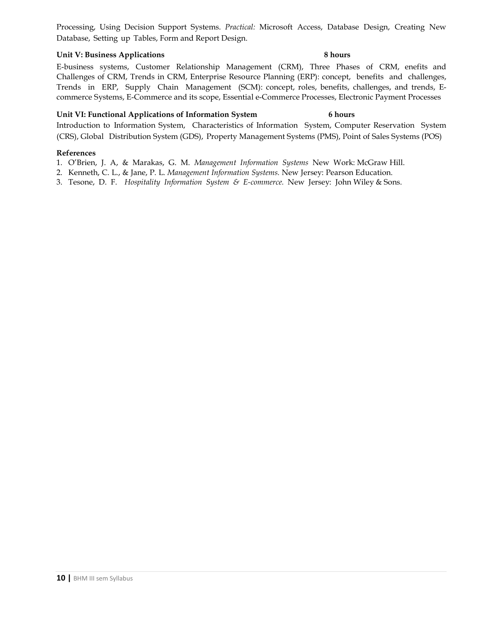Processing, Using Decision Support Systems. *Practical:* Microsoft Access, Database Design, Creating New Database, Setting up Tables, Form and Report Design.

## **Unit V:** Business Applications 8 hours

E-business systems, Customer Relationship Management (CRM), Three Phases of CRM, enefits and Challenges of CRM, Trends in CRM, Enterprise Resource Planning (ERP): concept, benefits and challenges, Trends in ERP, Supply Chain Management (SCM): concept, roles, benefits, challenges, and trends, Ecommerce Systems, E-Commerce and its scope, Essential e-Commerce Processes, Electronic Payment Processes

## **Unit VI: Functional Applications of Information System 6 hours**

Introduction to Information System, Characteristics of Information System, Computer Reservation System (CRS), Global Distribution System (GDS), Property Management Systems (PMS), Point of Sales Systems (POS)

## **References**

- 1. O'Brien, J. A, & Marakas, G. M. *Management Information Systems* New Work: McGraw Hill.
- 2. Kenneth, C. L., & Jane, P. L. *Management Information Systems.* New Jersey: Pearson Education.
- 3. Tesone, D. F. *Hospitality Information System & E-commerce.* New Jersey: John Wiley & Sons.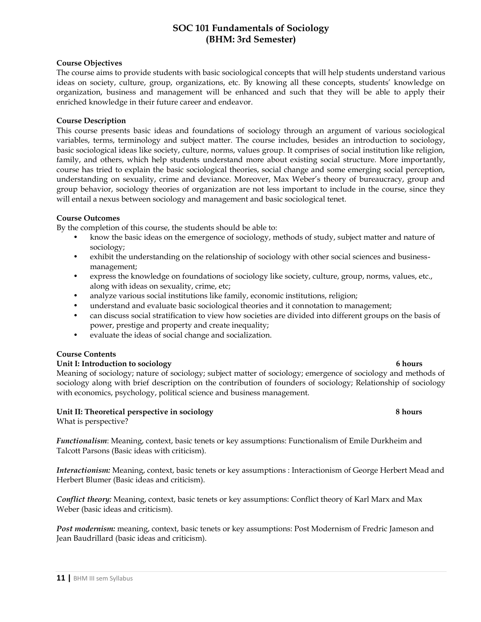## **SOC 101 Fundamentals of Sociology (BHM: 3rd Semester)**

## **Course Objectives**

The course aims to provide students with basic sociological concepts that will help students understand various ideas on society, culture, group, organizations, etc. By knowing all these concepts, students' knowledge on organization, business and management will be enhanced and such that they will be able to apply their enriched knowledge in their future career and endeavor.

## **Course Description**

This course presents basic ideas and foundations of sociology through an argument of various sociological variables, terms, terminology and subject matter. The course includes, besides an introduction to sociology, basic sociological ideas like society, culture, norms, values group. It comprises of social institution like religion, family, and others, which help students understand more about existing social structure. More importantly, course has tried to explain the basic sociological theories, social change and some emerging social perception, understanding on sexuality, crime and deviance. Moreover, Max Weber's theory of bureaucracy, group and group behavior, sociology theories of organization are not less important to include in the course, since they will entail a nexus between sociology and management and basic sociological tenet.

## **Course Outcomes**

By the completion of this course, the students should be able to:

- know the basic ideas on the emergence of sociology, methods of study, subject matter and nature of sociology;
- exhibit the understanding on the relationship of sociology with other social sciences and businessmanagement;
- express the knowledge on foundations of sociology like society, culture, group, norms, values, etc., along with ideas on sexuality, crime, etc;
- analyze various social institutions like family, economic institutions, religion;
- understand and evaluate basic sociological theories and it connotation to management;
- can discuss social stratification to view how societies are divided into different groups on the basis of power, prestige and property and create inequality;
- evaluate the ideas of social change and socialization.

## **Course Contents**

## Unit I: Introduction to sociology 6 hours

Meaning of sociology; nature of sociology; subject matter of sociology; emergence of sociology and methods of sociology along with brief description on the contribution of founders of sociology; Relationship of sociology with economics, psychology, political science and business management.

## **Unit II: Theoretical perspective in sociology 8 hours**

What is perspective?

*Functionalism*: Meaning, context, basic tenets or key assumptions: Functionalism of Emile Durkheim and Talcott Parsons (Basic ideas with criticism).

*Interactionism:* Meaning, context, basic tenets or key assumptions : Interactionism of George Herbert Mead and Herbert Blumer (Basic ideas and criticism).

*Conflict theory:* Meaning, context, basic tenets or key assumptions: Conflict theory of Karl Marx and Max Weber (basic ideas and criticism).

*Post modernism:* meaning, context, basic tenets or key assumptions: Post Modernism of Fredric Jameson and Jean Baudrillard (basic ideas and criticism).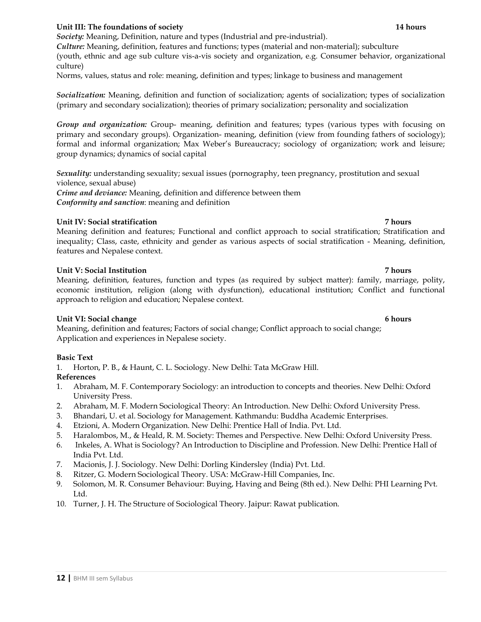## (primary and secondary socialization); theories of primary socialization; personality and socialization

*Group and organization:* Group- meaning, definition and features; types (various types with focusing on primary and secondary groups). Organization- meaning, definition (view from founding fathers of sociology); formal and informal organization; Max Weber's Bureaucracy; sociology of organization; work and leisure; group dynamics; dynamics of social capital

*Socialization:* Meaning, definition and function of socialization; agents of socialization; types of socialization

*Sexuality:* understanding sexuality; sexual issues (pornography, teen pregnancy, prostitution and sexual violence, sexual abuse)

*Crime and deviance:* Meaning, definition and difference between them *Conformity and sanction*: meaning and definition

## **Unit IV: Social stratification 7 hours**

Meaning definition and features; Functional and conflict approach to social stratification; Stratification and inequality; Class, caste, ethnicity and gender as various aspects of social stratification - Meaning, definition, features and Nepalese context.

## **Unit V: Social Institution 7 hours**

Meaning, definition, features, function and types (as required by subject matter): family, marriage, polity, economic institution, religion (along with dysfunction), educational institution; Conflict and functional approach to religion and education; Nepalese context.

## **Unit VI: Social change 6 hours** 6 hours

Meaning, definition and features; Factors of social change; Conflict approach to social change; Application and experiences in Nepalese society.

## **Basic Text**

1. Horton, P. B., & Haunt, C. L. Sociology. New Delhi: Tata McGraw Hill.

## **References**

- 1. Abraham, M. F. Contemporary Sociology: an introduction to concepts and theories. New Delhi: Oxford University Press.
- 2. Abraham, M. F. Modern Sociological Theory: An Introduction. New Delhi: Oxford University Press.
- 3. Bhandari, U. et al. Sociology for Management. Kathmandu: Buddha Academic Enterprises.
- 4. Etzioni, A. Modern Organization. New Delhi: Prentice Hall of India. Pvt. Ltd.
- 5. Haralombos, M., & Heald, R. M. Society: Themes and Perspective. New Delhi: Oxford University Press.
- 6. Inkeles, A. What is Sociology? An Introduction to Discipline and Profession. New Delhi: Prentice Hall of India Pvt. Ltd.
- 7. Macionis, J. J. Sociology. New Delhi: Dorling Kindersley (India) Pvt. Ltd.
- 8. Ritzer, G. Modern Sociological Theory. USA: McGraw-Hill Companies, Inc.
- 9. Solomon, M. R. Consumer Behaviour: Buying, Having and Being (8th ed.). New Delhi: PHI Learning Pvt. Ltd.
- 10. Turner, J. H. The Structure of Sociological Theory. Jaipur: Rawat publication.

## (youth, ethnic and age sub culture vis-a-vis society and organization, e.g. Consumer behavior, organizational

culture)

*Culture:* Meaning, definition, features and functions; types (material and non-material); subculture

Norms, values, status and role: meaning, definition and types; linkage to business and management

**Unit III: The foundations of society 14 hours** *Society:* Meaning, Definition, nature and types (Industrial and pre-industrial).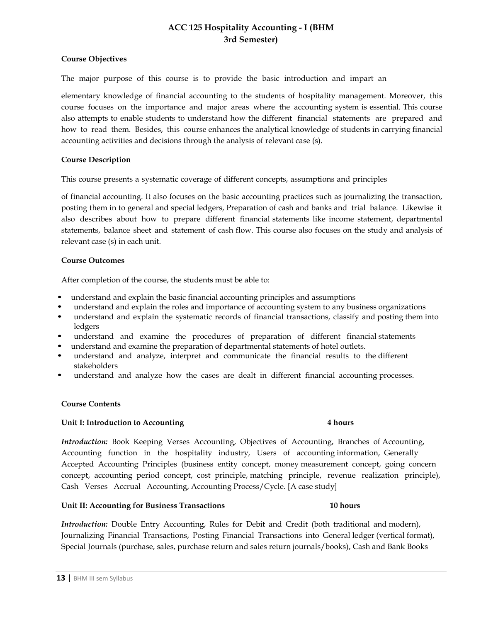## **ACC 125 Hospitality Accounting - I (BHM 3rd Semester)**

## **Course Objectives**

The major purpose of this course is to provide the basic introduction and impart an

elementary knowledge of financial accounting to the students of hospitality management. Moreover, this course focuses on the importance and major areas where the accounting system is essential. This course also attempts to enable students to understand how the different financial statements are prepared and how to read them. Besides, this course enhances the analytical knowledge of students in carrying financial accounting activities and decisions through the analysis of relevant case (s).

## **Course Description**

This course presents a systematic coverage of different concepts, assumptions and principles

of financial accounting. It also focuses on the basic accounting practices such as journalizing the transaction, posting them in to general and special ledgers, Preparation of cash and banks and trial balance. Likewise it also describes about how to prepare different financial statements like income statement, departmental statements, balance sheet and statement of cash flow. This course also focuses on the study and analysis of relevant case (s) in each unit.

## **Course Outcomes**

After completion of the course, the students must be able to:

- understand and explain the basic financial accounting principles and assumptions
- understand and explain the roles and importance of accounting system to any business organizations
- understand and explain the systematic records of financial transactions, classify and posting them into ledgers
- understand and examine the procedures of preparation of different financial statements
- understand and examine the preparation of departmental statements of hotel outlets.
- understand and analyze, interpret and communicate the financial results to the different stakeholders
- understand and analyze how the cases are dealt in different financial accounting processes.

## **Course Contents**

## **Unit I: Introduction to Accounting 4 hours**

*Introduction:* Book Keeping Verses Accounting, Objectives of Accounting, Branches of Accounting, Accounting function in the hospitality industry, Users of accounting information, Generally Accepted Accounting Principles (business entity concept, money measurement concept, going concern concept, accounting period concept, cost principle, matching principle, revenue realization principle), Cash Verses Accrual Accounting, Accounting Process/Cycle. [A case study]

## **Unit II: Accounting for Business Transactions 10 hours**

*Introduction:* Double Entry Accounting, Rules for Debit and Credit (both traditional and modern), Journalizing Financial Transactions, Posting Financial Transactions into General ledger (vertical format), Special Journals (purchase, sales, purchase return and sales return journals/books), Cash and Bank Books